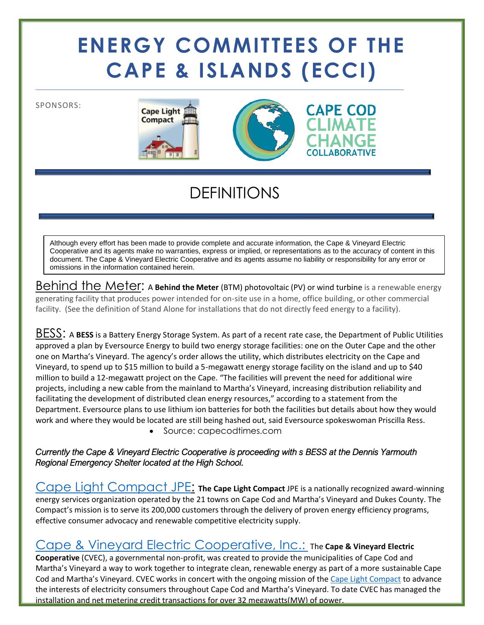# **ENERGY COMMITTEES OF THE CAPE & ISLANDS (ECCI)**

SPONSORS:





## DEFINITIONS

Although every effort has been made to provide complete and accurate information, the Cape & Vineyard Electric Cooperative and its agents make no warranties, express or implied, or representations as to the accuracy of content in this document. The Cape & Vineyard Electric Cooperative and its agents assume no liability or responsibility for any error or omissions in the information contained herein.

Behind the Meter: A **Behind the Meter** (BTM) photovoltaic (PV) or wind turbine is a renewable energy generating facility that produces power intended for on-site use in a home, office building, or other commercial facility. (See the definition of Stand Alone for installations that do not directly feed energy to a facility).

BESS: A **BESS** is a Battery Energy Storage System. As part of a recent rate case, the Department of Public Utilities approved a plan by Eversource Energy to build two energy storage facilities: one on the Outer Cape and the other one on Martha's Vineyard. The agency's order allows the utility, which distributes electricity on the Cape and Vineyard, to spend up to \$15 million to build a 5-megawatt energy storage facility on the island and up to \$40 million to build a 12-megawatt project on the Cape. "The facilities will prevent the need for additional wire projects, including a new cable from the mainland to Martha's Vineyard, increasing distribution reliability and facilitating the development of distributed clean energy resources," according to a statement from the Department. Eversource plans to use lithium ion batteries for both the facilities but details about how they would work and where they would be located are still being hashed out, said Eversource spokeswoman Priscilla Ress.

• Source: capecodtimes.com

*Currently the Cape & Vineyard Electric Cooperative is proceeding with s BESS at the Dennis Yarmouth Regional Emergency Shelter located at the High School.* 

[Cape Light Compact JPE:](file:///C:/Users/Liz%20Argo/Downloads/capelightcompact.org) **The Cape Light Compact** JPE is a nationally recognized award-winning energy services organization operated by the 21 towns on Cape Cod and Martha's Vineyard and Dukes County. The Compact's mission is to serve its 200,000 customers through the delivery of proven energy efficiency programs, effective consumer advocacy and renewable competitive electricity supply.

#### [Cape & Vineyard Electric Cooperative, Inc.:](file:///C:/Users/Liz%20Argo/Downloads/cvecinc.org) The **Cape & Vineyard Electric**

**Cooperative** (CVEC), a governmental non-profit, was created to provide the municipalities of Cape Cod and Martha's Vineyard a way to work together to integrate clean, renewable energy as part of a more sustainable Cape Cod and Martha's Vineyard. CVEC works in concert with the ongoing mission of the [Cape Light Compact](http://capelightcompact.org/) to advance the interests of electricity consumers throughout Cape Cod and Martha's Vineyard. To date CVEC has managed the installation and net metering credit transactions for over 32 megawatts(MW) of power.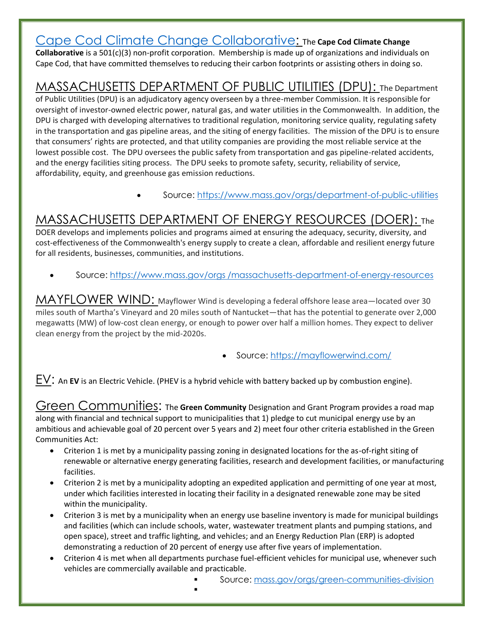[Cape Cod Climate Change Collaborative:](file:///C:/Users/Liz%20Argo/Downloads/capecodclimate.org) The **Cape Cod Climate Change** 

**Collaborative** is a 501(c)(3) non-profit corporation. Membership is made up of organizations and individuals on Cape Cod, that have committed themselves to reducing their carbon footprints or assisting others in doing so.

## MASSACHUSETTS DEPARTMENT OF PUBLIC UTILITIES (DPU): The Department

of Public Utilities (DPU) is an adjudicatory agency overseen by a three-member Commission. It is responsible for oversight of investor-owned electric power, natural gas, and water utilities in the Commonwealth. In addition, the DPU is charged with developing alternatives to traditional regulation, monitoring service quality, regulating safety in the transportation and gas pipeline areas, and the siting of energy facilities. The mission of the DPU is to ensure that consumers' rights are protected, and that utility companies are providing the most reliable service at the lowest possible cost. The DPU oversees the public safety from transportation and gas pipeline-related accidents, and the energy facilities siting process. The DPU seeks to promote safety, security, reliability of service, affordability, equity, and greenhouse gas emission reductions.

• Source:<https://www.mass.gov/orgs/department-of-public-utilities>

## MASSACHUSETTS DEPARTMENT OF ENERGY RESOURCES (DOER): The

DOER develops and implements policies and programs aimed at ensuring the adequacy, security, diversity, and cost-effectiveness of the Commonwealth's energy supply to create a clean, affordable and resilient energy future for all residents, businesses, communities, and institutions.

• Source: https://www.mass.gov/orgs [/massachusetts-department-of-energy-resources](https://www.mass.gov/orgs%20/massachusetts-department-of-energy-resources)

MAYFLOWER WIND: Mayflower Wind is developing a federal offshore lease area—located over 30 miles south of Martha's Vineyard and 20 miles south of Nantucket—that has the potential to generate over 2,000 megawatts (MW) of low-cost clean energy, or enough to power over half a million homes. They expect to deliver clean energy from the project by the mid-2020s.

• Source:<https://mayflowerwind.com/>

EV: An **EV** is an Electric Vehicle. (PHEV is a hybrid vehicle with battery backed up by combustion engine).

Green Communities: The **Green Community** Designation and Grant Program provides a road map along with financial and technical support to municipalities that 1) pledge to cut municipal energy use by an ambitious and achievable goal of 20 percent over 5 years and 2) meet four other criteria established in the Green Communities Act:

- Criterion 1 is met by a municipality passing zoning in designated locations for the as-of-right siting of renewable or alternative energy generating facilities, research and development facilities, or manufacturing facilities.
- Criterion 2 is met by a municipality adopting an expedited application and permitting of one year at most, under which facilities interested in locating their facility in a designated renewable zone may be sited within the municipality.
- Criterion 3 is met by a municipality when an energy use baseline inventory is made for municipal buildings and facilities (which can include schools, water, wastewater treatment plants and pumping stations, and open space), street and traffic lighting, and vehicles; and an Energy Reduction Plan (ERP) is adopted demonstrating a reduction of 20 percent of energy use after five years of implementation.
- Criterion 4 is met when all departments purchase fuel-efficient vehicles for municipal use, whenever such vehicles are commercially available and practicable.
	- Source: [mass.gov/orgs/green-communities-division](https://www.mass.gov/orgs/green-communities-division)
	- ▪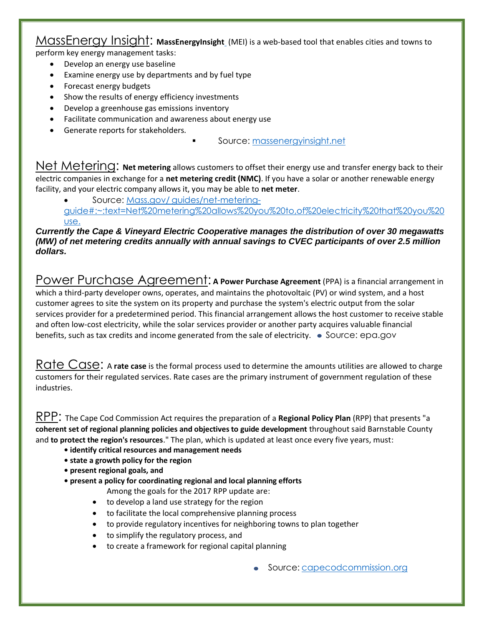#### MassEnergy Insight: **MassEnergyInsigh[t](https://www.massenergyinsight.net/home)** (MEI) is a web-based tool that enables cities and towns to perform key energy management tasks:

- Develop an energy use baseline
- Examine energy use by departments and by fuel type
- Forecast energy budgets
- Show the results of energy efficiency investments
- Develop a greenhouse gas emissions inventory
- Facilitate communication and awareness about energy use
- Generate reports for stakeholders*.*

▪ Source: [massenergyinsight.net](https://www.massenergyinsight.net/)

Net Metering: **Net metering** allows customers to offset their energy use and transfer energy back to their electric companies in exchange for a **net metering credit (NMC)**. If you have a solar or another renewable energy facility, and your electric company allows it, you may be able to **net meter**.

• Source: Mass.gov/ [guides/net-metering](https://www.mass.gov/guides/net-metering-guide#:~:text=Net%20metering%20allows%20you%20to,of%20electricity%20that%20you%20use.)[guide#:~:text=Net%20metering%20allows%20you%20to,of%20electricity%20that%20you%20](https://www.mass.gov/guides/net-metering-guide#:~:text=Net%20metering%20allows%20you%20to,of%20electricity%20that%20you%20use.) [use.](https://www.mass.gov/guides/net-metering-guide#:~:text=Net%20metering%20allows%20you%20to,of%20electricity%20that%20you%20use.)

#### *Currently the Cape & Vineyard Electric Cooperative manages the distribution of over 30 megawatts (MW) of net metering credits annually with annual savings to CVEC participants of over 2.5 million dollars.*

Power Purchase Agreement: **A** Power Purchase Agreement (PPA) is a financial arrangement in which a third-party developer owns, operates, and maintains the photovoltaic (PV) or wind system, and a host customer agrees to site the system on its property and purchase the system's electric output from the solar services provider for a predetermined period. This financial arrangement allows the host customer to receive stable and often low-cost electricity, while the solar services provider or another party acquires valuable financial benefits, such as tax credits and income generated from the sale of electricity.  $\bullet$  Source: epa.gov

Rate Case: A rate case is the formal process used to determine the amounts utilities are allowed to charge customers for their regulated services. Rate cases are the primary instrument of government regulation of these industries.

RPP: The Cape Cod Commission Act requires the preparation of a **Regional Policy Plan** (RPP) that presents "a **coherent set of regional planning policies and objectives to guide development** throughout said Barnstable County and **to protect the region's resources**." The plan, which is updated at least once every five years, must:

- **• identify critical resources and management needs**
- **• state a growth policy for the region**
- **• present regional goals, and**
- **• present a policy for coordinating regional and local planning efforts**
	- Among the goals for the 2017 RPP update are:
	- to develop a land use strategy for the region
	- to facilitate the local comprehensive planning process
	- to provide regulatory incentives for neighboring towns to plan together
	- to simplify the regulatory process, and
	- to create a framework for regional capital planning

• Source: [capecodcommission.org](file:///C:/Users/Liz%20Argo/Downloads/capecodcommission.org)